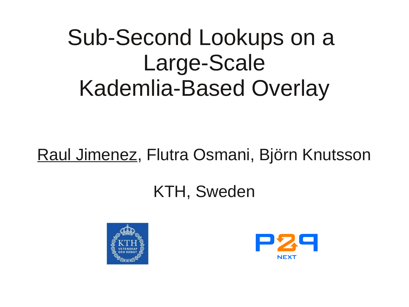## Sub-Second Lookups on a Large-Scale Kademlia-Based Overlay

#### Raul Jimenez, Flutra Osmani, Björn Knutsson

#### KTH, Sweden



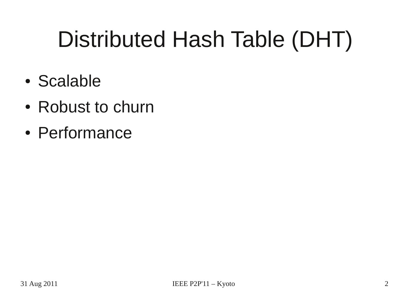# Distributed Hash Table (DHT)

- Scalable
- Robust to churn
- Performance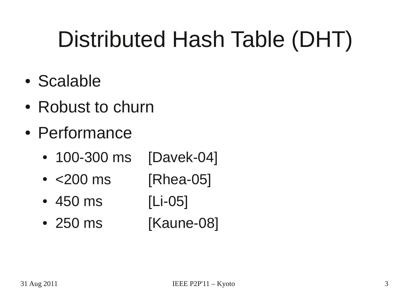# Distributed Hash Table (DHT)

- Scalable
- Robust to churn
- Performance
	- 100-300 ms [Davek-04]
	- <200 ms [Rhea-05]
	- 450 ms [Li-05]
	- 250 ms [Kaune-08]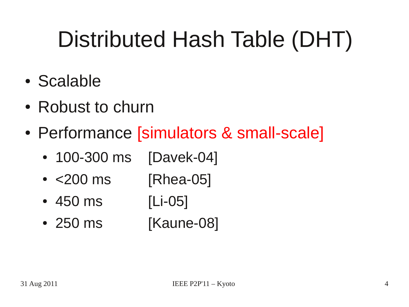# Distributed Hash Table (DHT)

- Scalable
- Robust to churn
- Performance [simulators & small-scale]
	- 100-300 ms [Davek-04]
	- <200 ms [Rhea-05]
	- 450 ms [Li-05]
	- 250 ms [Kaune-08]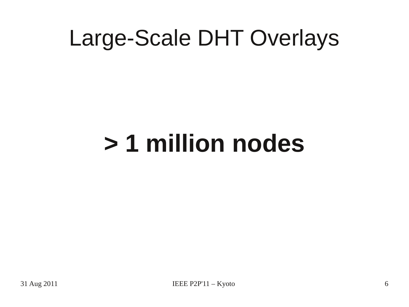# **> 1 million nodes**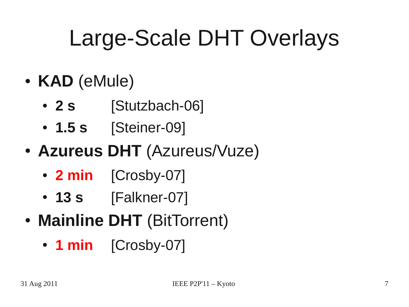- **KAD** (eMule)
	- 2 s [Stutzbach-06]
	- **1.5 s** [Steiner-09]
- **Azureus DHT** (Azureus/Vuze)
	- **2 min** [Crosby-07]
	- 13 s [Falkner-07]
- **Mainline DHT** (BitTorrent)
	- 1 min [Crosby-07]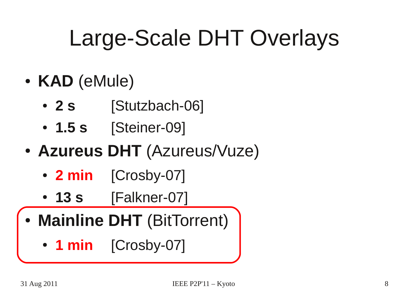- **KAD** (eMule)
	- 2 s [Stutzbach-06]
	- **1.5 s** [Steiner-09]
- **Azureus DHT** (Azureus/Vuze)
	- **2 min** [Crosby-07]
	- 13 s **[Falkner-07]**
- **Mainline DHT** (BitTorrent)
	- 1 min [Crosby-07]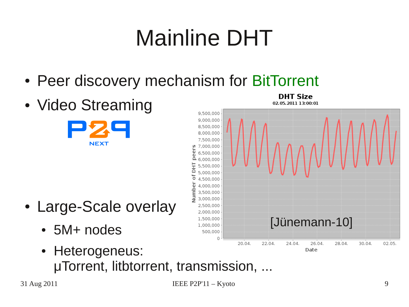# Mainline DHT

- Peer discovery mechanism for BitTorrent
- Video Streaming



- Large-Scale overlay
	- 5M+ nodes
	- Heterogeneus: μTorrent, litbtorrent, transmission, ...

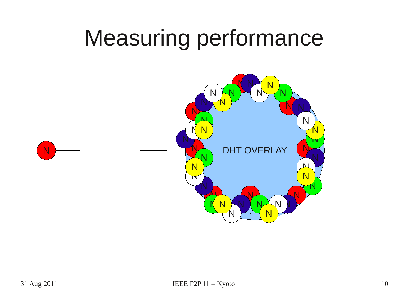# Measuring performance

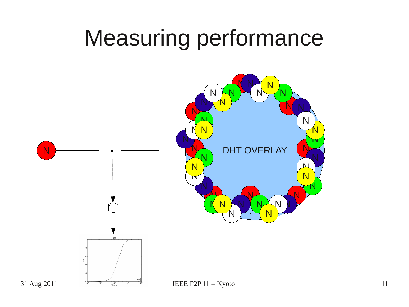## Measuring performance

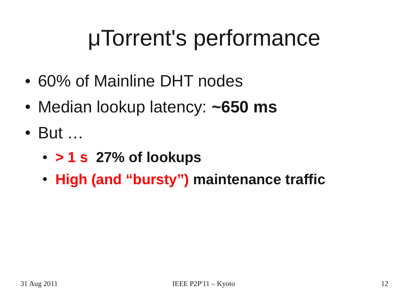# μTorrent's performance

- 60% of Mainline DHT nodes
- Median lookup latency: ~650 ms
- But ...
	- **> 1 s 27% of lookups**
	- **High (and "bursty") maintenance traffic**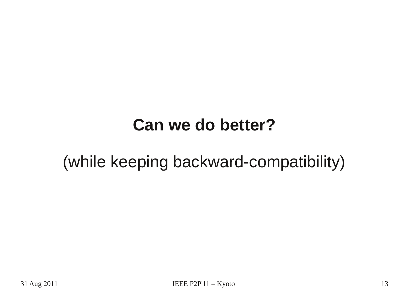#### **Can we do better?**

#### (while keeping backward-compatibility)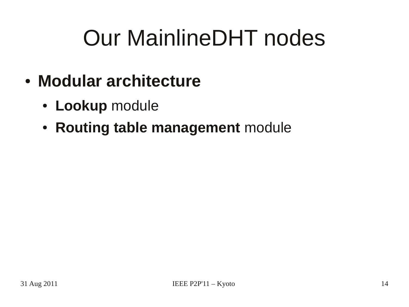# Our MainlineDHT nodes

- **Modular architecture**
	- **Lookup** module
	- **Routing table management** module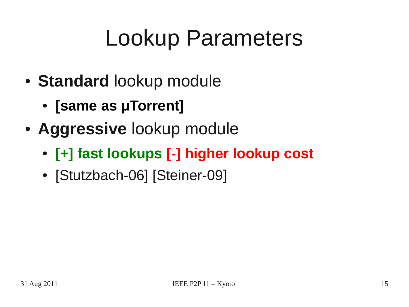# Lookup Parameters

- **Standard** lookup module
	- **[same as µTorrent]**
- **Aggressive** lookup module
	- **[+] fast lookups [-] higher lookup cost**
	- [Stutzbach-06] [Steiner-09]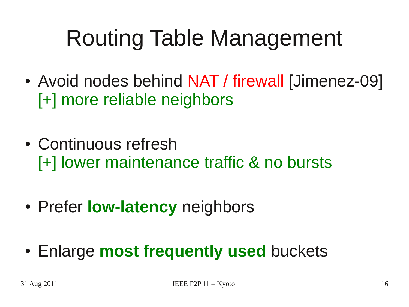# Routing Table Management

- Avoid nodes behind NAT / firewall [Jimenez-09] [+] more reliable neighbors
- Continuous refresh [+] lower maintenance traffic & no bursts
- Prefer **low-latency** neighbors
- Enlarge **most frequently used** buckets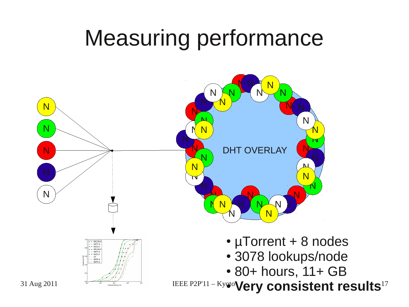## Measuring performance

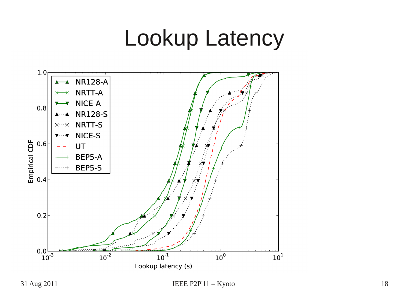### Lookup Latency

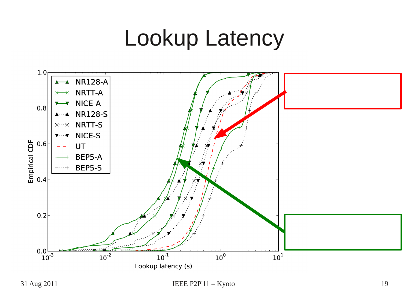## Lookup Latency



31 Aug 2011 **IEEE P2P'11** – Kyoto 19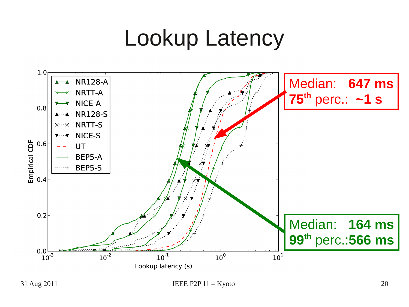## Lookup Latency



31 Aug 2011 **IEEE P2P'11** – Kyoto 20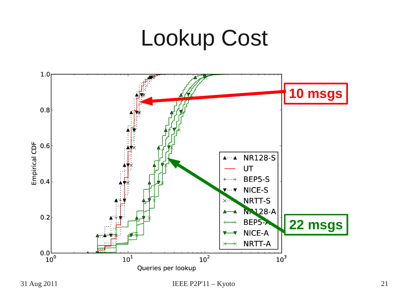### Lookup Cost

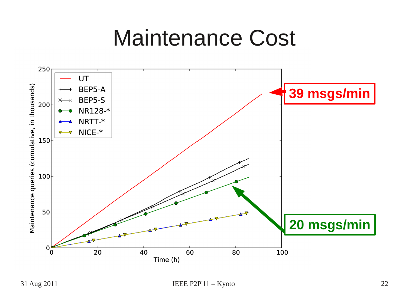### Maintenance Cost

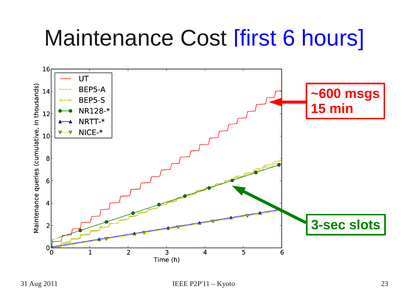# Maintenance Cost [first 6 hours]

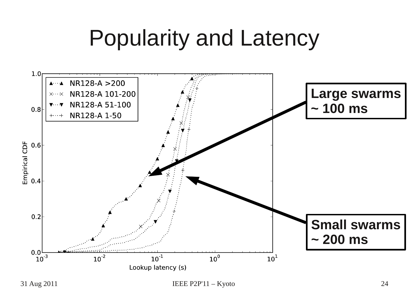## Popularity and Latency

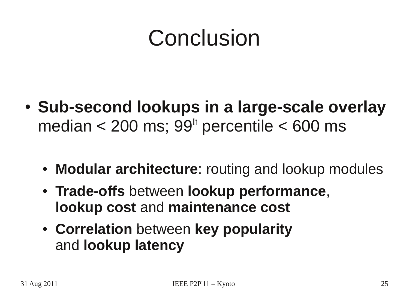# Conclusion

- Sub-second lookups in a large-scale overlay median < 200 ms;  $99<sup>th</sup>$  percentile < 600 ms
	- **Modular architecture**: routing and lookup modules
	- **Trade-offs** between **lookup performance**, **lookup cost** and **maintenance cost**
	- **Correlation** between **key popularity** and **lookup latency**